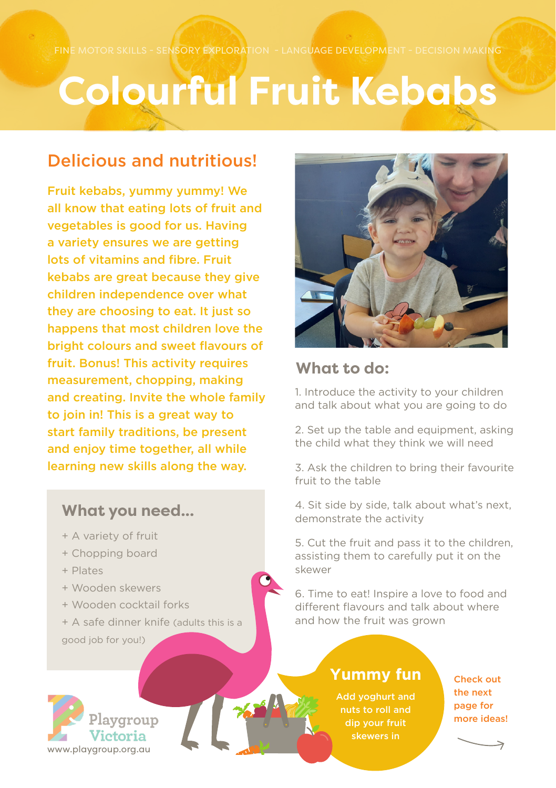## **Colourful Fruit Kebabs**

## Delicious and nutritious!

Fruit kebabs, yummy yummy! We all know that eating lots of fruit and vegetables is good for us. Having a variety ensures we are getting lots of vitamins and fibre. Fruit kebabs are great because they give children independence over what they are choosing to eat. It just so happens that most children love the bright colours and sweet flavours of fruit. Bonus! This activity requires measurement, chopping, making and creating. Invite the whole family to join in! This is a great way to start family traditions, be present and enjoy time together, all while learning new skills along the way.

### **What you need...**

- + A variety of fruit
- + Chopping board
- + Plates
- + Wooden skewers
- + Wooden cocktail forks
- + A safe dinner knife (adults this is a
- good job for you!)



### **What to do:**

1. Introduce the activity to your children and talk about what you are going to do

2. Set up the table and equipment, asking the child what they think we will need

3. Ask the children to bring their favourite fruit to the table

4. Sit side by side, talk about what's next, demonstrate the activity

5. Cut the fruit and pass it to the children, assisting them to carefully put it on the skewer

6. Time to eat! Inspire a love to food and different flavours and talk about where and how the fruit was grown

### **Yummy fun**

Add yoghurt and nuts to roll and dip your fruit skewers in

Check out the next page for more ideas!